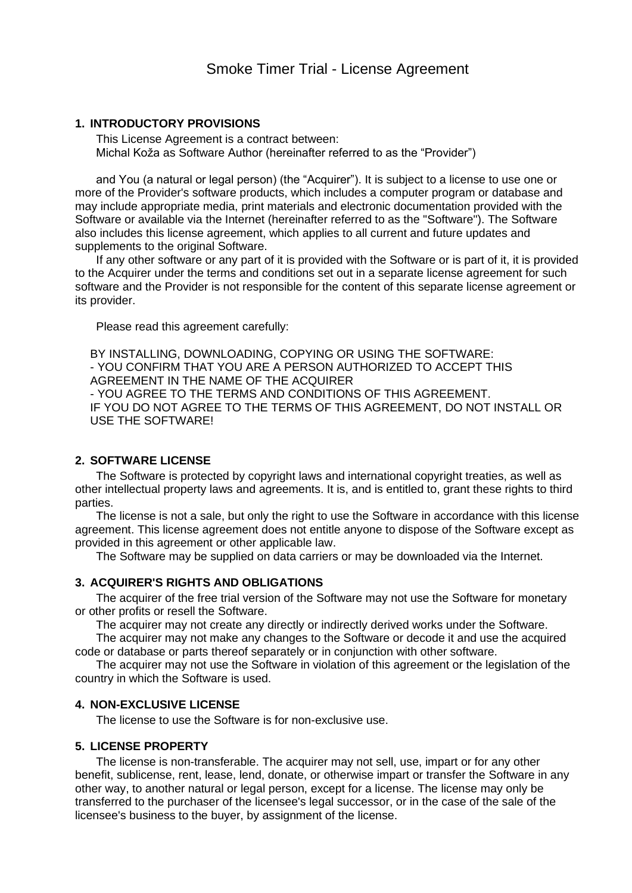## **1. INTRODUCTORY PROVISIONS**

This License Agreement is a contract between: Michal Koža as Software Author (hereinafter referred to as the "Provider")

and You (a natural or legal person) (the "Acquirer"). It is subject to a license to use one or more of the Provider's software products, which includes a computer program or database and may include appropriate media, print materials and electronic documentation provided with the Software or available via the Internet (hereinafter referred to as the "Software"). The Software also includes this license agreement, which applies to all current and future updates and supplements to the original Software.

If any other software or any part of it is provided with the Software or is part of it, it is provided to the Acquirer under the terms and conditions set out in a separate license agreement for such software and the Provider is not responsible for the content of this separate license agreement or its provider.

Please read this agreement carefully:

BY INSTALLING, DOWNLOADING, COPYING OR USING THE SOFTWARE: - YOU CONFIRM THAT YOU ARE A PERSON AUTHORIZED TO ACCEPT THIS AGREEMENT IN THE NAME OF THE ACQUIRER - YOU AGREE TO THE TERMS AND CONDITIONS OF THIS AGREEMENT. IF YOU DO NOT AGREE TO THE TERMS OF THIS AGREEMENT, DO NOT INSTALL OR USE THE SOFTWARE!

# **2. SOFTWARE LICENSE**

The Software is protected by copyright laws and international copyright treaties, as well as other intellectual property laws and agreements. It is, and is entitled to, grant these rights to third parties.

The license is not a sale, but only the right to use the Software in accordance with this license agreement. This license agreement does not entitle anyone to dispose of the Software except as provided in this agreement or other applicable law.

The Software may be supplied on data carriers or may be downloaded via the Internet.

## **3. ACQUIRER'S RIGHTS AND OBLIGATIONS**

The acquirer of the free trial version of the Software may not use the Software for monetary or other profits or resell the Software.

The acquirer may not create any directly or indirectly derived works under the Software.

The acquirer may not make any changes to the Software or decode it and use the acquired code or database or parts thereof separately or in conjunction with other software.

The acquirer may not use the Software in violation of this agreement or the legislation of the country in which the Software is used.

# **4. NON-EXCLUSIVE LICENSE**

The license to use the Software is for non-exclusive use.

## **5. LICENSE PROPERTY**

The license is non-transferable. The acquirer may not sell, use, impart or for any other benefit, sublicense, rent, lease, lend, donate, or otherwise impart or transfer the Software in any other way, to another natural or legal person, except for a license. The license may only be transferred to the purchaser of the licensee's legal successor, or in the case of the sale of the licensee's business to the buyer, by assignment of the license.